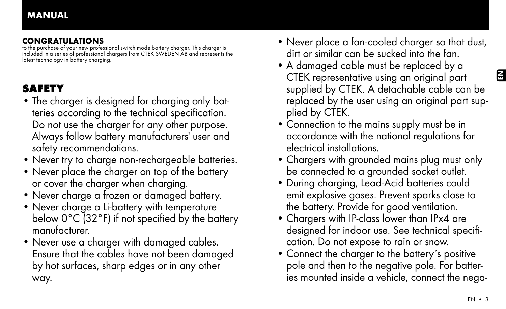# CONGRATULATIONS

to the purchase of your new professional switch mode battery charger. This charger is included in a series of professional chargers from CTEK SWEDEN AB and represents the latest technology in battery charging.

# **SAFETY**

- The charger is designed for charging only batteries according to the technical specification. Do not use the charger for any other purpose. Always follow battery manufacturers' user and safety recommendations.
- Never try to charge non-rechargeable batteries.
- Never place the charger on top of the battery or cover the charger when charging.
- Never charge a frozen or damaged battery.
- Never charge a Li-battery with temperature below 0°C (32°F) if not specified by the battery manufacturer.
- Never use a charger with damaged cables. Ensure that the cables have not been damaged by hot surfaces, sharp edges or in any other way.
- Never place a fan-cooled charger so that dust, dirt or similar can be sucked into the fan.
- A damaged cable must be replaced by a CTEK representative using an original part supplied by CTEK. A detachable cable can be replaced by the user using an original part supplied by CTEK.
- Connection to the mains supply must be in accordance with the national regulations for electrical installations.
- Chargers with grounded mains plug must only be connected to a grounded socket outlet.
- During charging, Lead-Acid batteries could emit explosive gases. Prevent sparks close to the battery. Provide for good ventilation.
- Chargers with IP-class lower than IPx4 are designed for indoor use. See technical specification. Do not expose to rain or snow.
- Connect the charger to the battery's positive pole and then to the negative pole. For batteries mounted inside a vehicle, connect the nega-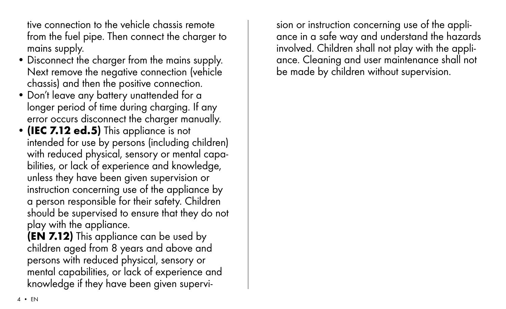tive connection to the vehicle chassis remote from the fuel pipe. Then connect the charger to mains supply.

- Disconnect the charger from the mains supply. Next remove the negative connection (vehicle chassis) and then the positive connection.
- Don't leave any battery unattended for a longer period of time during charging. If any error occurs disconnect the charger manually.
- (IEC 7.12 ed.5) This appliance is not intended for use by persons (including children) with reduced physical, sensory or mental capabilities, or lack of experience and knowledge, unless they have been given supervision or instruction concerning use of the appliance by a person responsible for their safety. Children should be supervised to ensure that they do not play with the appliance.

(EN 7.12) This appliance can be used by children aged from 8 years and above and persons with reduced physical, sensory or mental capabilities, or lack of experience and knowledge if they have been given supervision or instruction concerning use of the appliance in a safe way and understand the hazards involved. Children shall not play with the appliance. Cleaning and user maintenance shall not be made by children without supervision.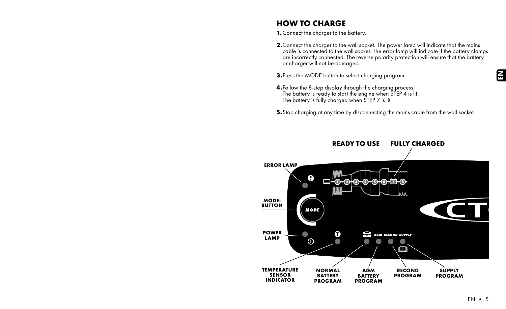# HOW TO CHARGE

1. Connect the charger to the battery.

- 2. Connect the charger to the wall socket. The power lamp will indicate that the mains cable is connected to the wall socket. The error lamp will indicate if the battery clamps are incorrectly connected. The reverse polarity protection will ensure that the battery or charger will not be damaged.
- 3.Press the MODE-button to select charging program.
- 4.Follow the 8-step display through the charging process. The battery is ready to start the engine when STEP 4 is lit. The battery is fully charged when STEP 7 is lit.
- 5. Stop charging at any time by disconnecting the mains cable from the wall socket.

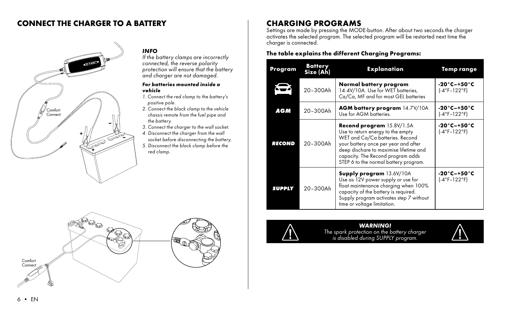### CONNECT THE CHARGER TO A BATTERY



### *INFO*

*If the battery clamps are incorrectly connected, the reverse polarity protection will ensure that the battery and charger are not damaged.*

#### *For batteries mounted inside a vehicle*

- *1. Connect the red clamp to the battery's positive pole.*
- *2. Connect the black clamp to the vehicle chassis remote from the fuel pipe and the battery.*
- *3. Connect the charger to the wall socket.*
- *4. Disconnect the charger from the wall socket before disconnecting the battery.*
- *5. Disconnect the black clamp before the red clamp.*



# CHARGING programs

Settings are made by pressing the MODE-button. After about two seconds the charger activates the selected program. The selected program will be restarted next time the charger is connected.

### The table explains the different Charging Programs:

| Program       | <b>Battery</b><br>Size (Ah) | <b>Explanation</b>                                                                                                                                                                                                                                                       | Temp range                                     |  |  |
|---------------|-----------------------------|--------------------------------------------------------------------------------------------------------------------------------------------------------------------------------------------------------------------------------------------------------------------------|------------------------------------------------|--|--|
|               | 20-300Ah                    | Normal battery program<br>14.4V/10A. Use for WET batteries,<br>Ca/Ca, MF and for most GEL batteries                                                                                                                                                                      | -20°C-+50°C<br>$(-4°F-122°F)$                  |  |  |
| AGM           | 20-300Ah                    | AGM battery program 14.7V/10A<br>Use for AGM batteries.                                                                                                                                                                                                                  | -20°C-+50°C<br>(-4°F-122°F)                    |  |  |
| <b>RECOND</b> | 20-300Ah                    | <b>Recond program</b> 15.8V/1.5A<br>Use to return energy to the empty<br>WET and Ca/Ca batteries. Recond<br>your battery once per year and after<br>deep dischare to maximise lifetime and<br>capacity. The Recond program adds<br>STEP 6 to the normal battery program. | $-20^\circ$ C $-+50^\circ$ C<br>$(-4°F-122°F)$ |  |  |
| <b>SUPPLY</b> | 20-300Ah                    | <b>Supply program 13.6V/10A</b><br>Use as 12V power supply or use for<br>float maintenance charging when 100%<br>capacity of the battery is required.<br>Supply program activates step 7 without<br>time or voltage limitation.                                          | -20°C-+50°C<br>$(-4°F-122°F)$                  |  |  |



### *WARNING!*

*The spark protection on the battery charger is disabled during SUPPLY program.*

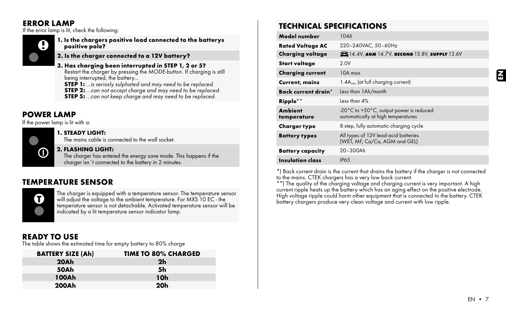### ERROR LAMP

If the error lamp is lit, check the following:



1. Is the chargers positive lead connected to the batterys positive pole?

### 2. Is the charger connected to a 12V battery?

- 3. Has charging been interrupted in STEP 1, 2 or 5? Restart the charger by pressing the MODE-button. If charging is still being interrupted, the battery...
	- **STEP 1:** ...is seriosly sulphated and may need to be replaced.
	- step 2: *...can not accept charge and may need to be replaced.*
	- step 5: *...can not keep charge and may need to be replaced.*

### POWER LAMP

If the power lamp is lit with a:



### 1. STEADY LIGHT:

The mains cable is connected to the wall socket.

### 2. FLASHING LIGHT:

The charger has entered the energy save mode. This happens if the charger isn´t connected to the battery in 2 minutes.

# TEMPERATURE SENSOR



The charger is equipped with a temperature sensor. The temperature sensor will adjust the voltage to the ambient temperature. For MXS 10 EC - the temperature sensor is not detachable. Activated temperature sensor will be indicated by a lit temperature sensor indicator lamp.

### READY TO USE

The table shows the estimated time for empty battery to 80% charge

| <b>BATTERY SIZE (Ah)</b> | <b>TIME TO 80% CHARGED</b> |
|--------------------------|----------------------------|
| 20Ah                     | 2 <sub>h</sub>             |
| 50Ah                     | 5h                         |
| 100Ah                    | 10h                        |
| 200Ah                    | 20 <sub>h</sub>            |

# TECHNICAL SPECIFICATIONS

| Model number                  | 1046                                                                          |  |  |  |  |
|-------------------------------|-------------------------------------------------------------------------------|--|--|--|--|
| <b>Rated Voltage AC</b>       | 220-240VAC, 50-60Hz                                                           |  |  |  |  |
| <b>Charging voltage</b>       | 13.6V 14.4V, AGM 14.7V, RECOND 15.8V, SUPPLY 13.6V                            |  |  |  |  |
| Start voltage                 | 2.0V                                                                          |  |  |  |  |
| <b>Charging current</b>       | $10A$ max                                                                     |  |  |  |  |
| Current, mains                | $1.4Arms$ (at full charging current)                                          |  |  |  |  |
| Back current drain*           | Less than 1Ah/month                                                           |  |  |  |  |
| Ripple**                      | Less than 4%                                                                  |  |  |  |  |
| <b>Ambient</b><br>temperature | -20°C to +50°C, output power is reduced<br>automatically at high temperatures |  |  |  |  |
| <b>Charger type</b>           | 8-step, fully automatic charging cycle                                        |  |  |  |  |
| <b>Battery types</b>          | All types of 12V lead-acid batteries<br>(WET, MF, Ca/Ca, AGM and GEL)         |  |  |  |  |
| <b>Battery capacity</b>       | 20-300Ah                                                                      |  |  |  |  |
| Insulation class              | <b>IP65</b>                                                                   |  |  |  |  |

\*) Back current drain is the current that drains the battery if the charger is not connected<br>to the mains. CTEK chargers has a very low back current.<br>\*\*) The quality of the charging voltage and charging current is very imp

current ripple heats up the battery which has an aging effect on the positive electrode. High voltage ripple could harm other equipment that is connected to the battery. CTEK battery chargers produce very clean voltage and current with low ripple.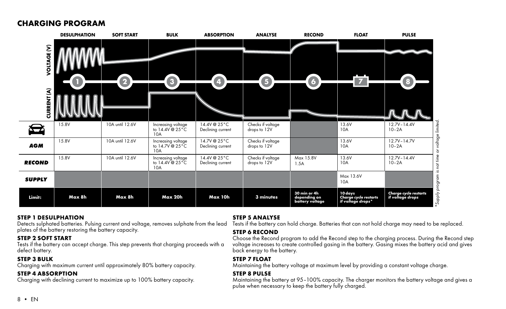### CHARGING PROGRAM

|               | <b>DESULPHATION</b> | <b>SOFT START</b> | <b>BULK</b>                                  | <b>ABSORPTION</b>                 | <b>ANALYSE</b>                    | <b>RECOND</b>                                   | <b>FLOAT</b>                                          | <b>PULSE</b>                                                             |
|---------------|---------------------|-------------------|----------------------------------------------|-----------------------------------|-----------------------------------|-------------------------------------------------|-------------------------------------------------------|--------------------------------------------------------------------------|
| VOLTAGE (V)   |                     | 2                 | $\bullet$                                    | $\bullet$                         | 6                                 | 6                                               | $\overline{7}$                                        | O                                                                        |
| CURRENT (A)   |                     |                   |                                              |                                   |                                   |                                                 |                                                       |                                                                          |
| $\bigoplus$   | 15.8V               | 10A until 12.6V   | Increasing voltage<br>to 14.4V @ 25°C<br>10A | 14.4V @ 25°C<br>Declining current | Checks if voltage<br>drops to 12V |                                                 | 13.6V<br>10A                                          | or voltage limited.<br>$12.7V - 14.4V$<br>$10-2A$                        |
| <b>AGM</b>    | 15.8V               | 10A until 12.6V   | Increasing voltage<br>to 14.7V @ 25°C<br>10A | 14.7V @ 25°C<br>Declining current | Checks if voltage<br>drops to 12V |                                                 | 13.6V<br>10A                                          | $12.7V - 14.7V$<br>$10-2A$                                               |
| <b>RECOND</b> | 15.8V               | 10A until 12.6V   | Increasing voltage<br>to 14.4V @ 25°C<br>10A | 14.4V @ 25°C<br>Declining current | Checks if voltage<br>drops to 12V | Max 15.8V<br>1.5A                               | 13.6V<br>10A                                          | 12.7V-14.4V<br>$10-2A$                                                   |
| <b>SUPPLY</b> |                     |                   |                                              |                                   |                                   |                                                 | Max 13.6V<br>10A                                      |                                                                          |
| Limit:        | Max 8h              | Max 8h            | Max 20h                                      | Max 10h                           | 3 minutes                         | 30 min or 4h<br>depending on<br>battery voltage | 10 days<br>Charge cycle restarts<br>if voltage drops* | *Supply program is not time<br>Charge cycle restarts<br>if voltage drops |

#### STEP 1 desulphation

Detects sulphated batteries. Pulsing current and voltage, removes sulphate from the lead plates of the battery restoring the battery capacity.

#### STEP 2 soft start

Tests if the battery can accept charge. This step prevents that charging proceeds with a defect battery.

### STEP 3 bulk

Charging with maximum current until approximately 80% battery capacity.

### STEP 4 absorption

Charging with declining current to maximize up to 100% battery capacity.

#### STEP 5 analysE

Tests if the battery can hold charge. Batteries that can not hold charge may need to be replaced.

### STEP 6 recond

Choose the Recond program to add the Recond step to the charging process. During the Recond step voltage increases to create controlled gasing in the battery. Gasing mixes the battery acid and gives back energy to the battery.

### STEP 7 float

Maintaining the battery voltage at maximum level by providing a constant voltage charge.

### STEP 8 pulse

Maintaining the battery at 95–100% capacity. The charger monitors the battery voltage and gives a pulse when necessary to keep the battery fully charged.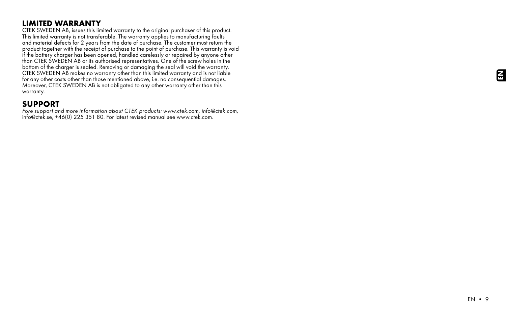# LIMITED WARRANTY

CTEK SWEDEN AB, issues this limited warranty to the original purchaser of this product. This limited warranty is not transferable. The warranty applies to manufacturing faults and material defects for 2 years from the date of purchase. The customer must return the product together with the receipt of purchase to the point of purchase. This warranty is void if the battery charger has been opened, handled carelessly or repaired by anyone other than CTEK SWEDEN AB or its authorised representatives. One of the screw holes in the bottom of the charger is sealed. Removing or damaging the seal will void the warranty. CTEK SWEDEN AB makes no warranty other than this limited warranty and is not liable for any other costs other than those mentioned above, i.e. no consequential damages. Moreover, CTEK SWEDEN AB is not obligated to any other warranty other than this warranty.

### SUPPORT

*Fore support and more information about CTEK products: www.ctek.com, info@ctek.com,*  info@ctek.se, +46(0) 225 351 80. For latest revised manual see www.ctek.com.

EN